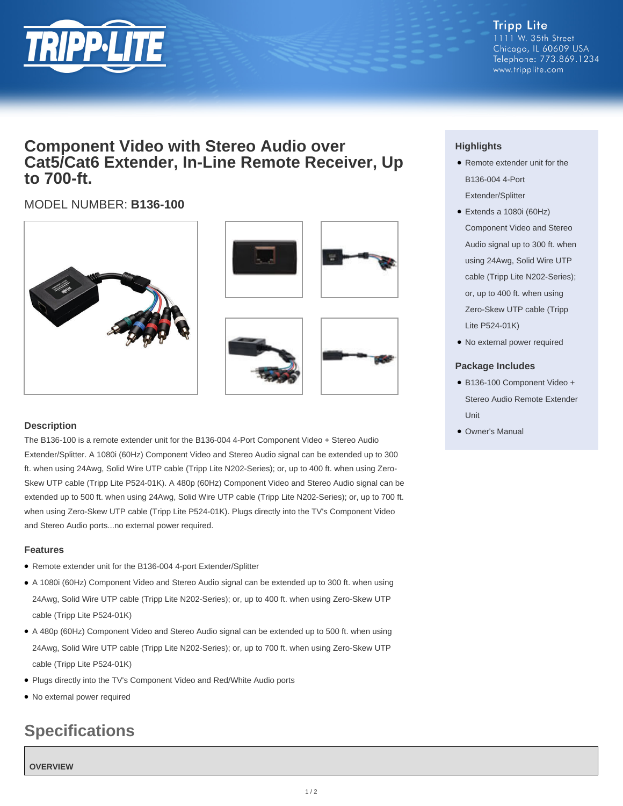

**Tripp Lite** 1111 W. 35th Street Chicago, IL 60609 USA Telephone: 773.869.1234 www.tripplite.com

## **Component Video with Stereo Audio over Cat5/Cat6 Extender, In-Line Remote Receiver, Up to 700-ft.**

### MODEL NUMBER: **B136-100**







### **Description**

The B136-100 is a remote extender unit for the B136-004 4-Port Component Video + Stereo Audio Extender/Splitter. A 1080i (60Hz) Component Video and Stereo Audio signal can be extended up to 300 ft. when using 24Awg, Solid Wire UTP cable (Tripp Lite N202-Series); or, up to 400 ft. when using Zero-Skew UTP cable (Tripp Lite P524-01K). A 480p (60Hz) Component Video and Stereo Audio signal can be extended up to 500 ft. when using 24Awg, Solid Wire UTP cable (Tripp Lite N202-Series); or, up to 700 ft. when using Zero-Skew UTP cable (Tripp Lite P524-01K). Plugs directly into the TV's Component Video and Stereo Audio ports...no external power required.

### **Features**

- Remote extender unit for the B136-004 4-port Extender/Splitter
- A 1080i (60Hz) Component Video and Stereo Audio signal can be extended up to 300 ft. when using 24Awg, Solid Wire UTP cable (Tripp Lite N202-Series); or, up to 400 ft. when using Zero-Skew UTP cable (Tripp Lite P524-01K)
- A 480p (60Hz) Component Video and Stereo Audio signal can be extended up to 500 ft. when using 24Awg, Solid Wire UTP cable (Tripp Lite N202-Series); or, up to 700 ft. when using Zero-Skew UTP cable (Tripp Lite P524-01K)
- Plugs directly into the TV's Component Video and Red/White Audio ports
- No external power required

# **Specifications**

### **OVERVIEW**

### **Highlights**

- Remote extender unit for the B136-004 4-Port Extender/Splitter
- Extends a 1080i (60Hz) Component Video and Stereo Audio signal up to 300 ft. when using 24Awg, Solid Wire UTP cable (Tripp Lite N202-Series); or, up to 400 ft. when using Zero-Skew UTP cable (Tripp Lite P524-01K)
- No external power required

### **Package Includes**

- B136-100 Component Video + Stereo Audio Remote Extender Unit
- Owner's Manual